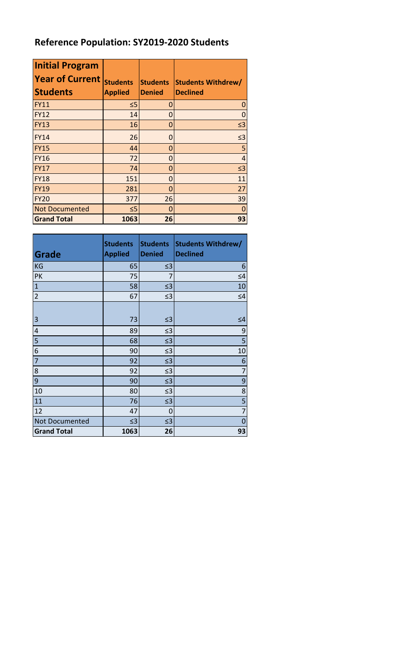## **Reference Population: SY2019-2020 Students**

| <b>Initial Program</b><br><b>Year of Current</b><br><b>Students</b> | <b>Students</b><br><b>Applied</b> | <b>Students</b><br><b>Denied</b> | <b>Students Withdrew/</b><br><b>Declined</b> |
|---------------------------------------------------------------------|-----------------------------------|----------------------------------|----------------------------------------------|
| <b>FY11</b>                                                         | ≤5                                | 0                                | 0                                            |
| <b>FY12</b>                                                         | 14                                | 0                                |                                              |
| <b>FY13</b>                                                         | 16                                | 0                                | $\leq$ 3                                     |
| <b>FY14</b>                                                         | 26                                | 0                                | $\leq$ 3                                     |
| <b>FY15</b>                                                         | 44                                | 0                                | 5                                            |
| <b>FY16</b>                                                         | 72                                | 0                                | $\overline{4}$                               |
| <b>FY17</b>                                                         | 74                                | 0                                | $\leq$ 3                                     |
| <b>FY18</b>                                                         | 151                               | 0                                | 11                                           |
| <b>FY19</b>                                                         | 281                               | 0                                | 27                                           |
| <b>FY20</b>                                                         | 377                               | 26                               | 39                                           |
| <b>Not Documented</b>                                               | $\leq 5$                          | 0                                |                                              |
| <b>Grand Total</b>                                                  | 1063                              | 26                               | 93                                           |

| Grade              | <b>Students</b><br><b>Applied</b> | <b>Students</b><br><b>Denied</b> | <b>Students Withdrew/</b><br><b>Declined</b> |
|--------------------|-----------------------------------|----------------------------------|----------------------------------------------|
| <b>KG</b>          | 65                                | $\leq$ 3                         | 6                                            |
| PK                 | 75                                | 7                                | $\leq 4$                                     |
| $\mathbf{1}$       | 58                                | $\leq$ 3                         | 10                                           |
| $\overline{2}$     | 67                                | $\leq$ 3                         | $\leq 4$                                     |
| 3                  | 73                                | $\leq$ 3                         | $\leq 4$                                     |
| 4                  | 89                                | $\leq$ 3                         | 9                                            |
| 5                  | 68                                | $\leq$ 3                         | 5                                            |
| 6                  | 90                                | $\leq$ 3                         | 10                                           |
| $\overline{7}$     | 92                                | $\leq$ 3                         | 6                                            |
| 8                  | 92                                | $\leq$ 3                         | 7                                            |
| 9                  | 90                                | $\leq$ 3                         | 9                                            |
| 10                 | 80                                | $\leq$ 3                         | 8                                            |
| 11                 | 76                                | $\leq$ 3                         | 5                                            |
| 12                 | 47                                | 0                                | $\overline{7}$                               |
| Not Documented     | $\leq$ 3                          | $\leq$ 3                         | 0                                            |
| <b>Grand Total</b> | 1063                              | 26                               | 93                                           |